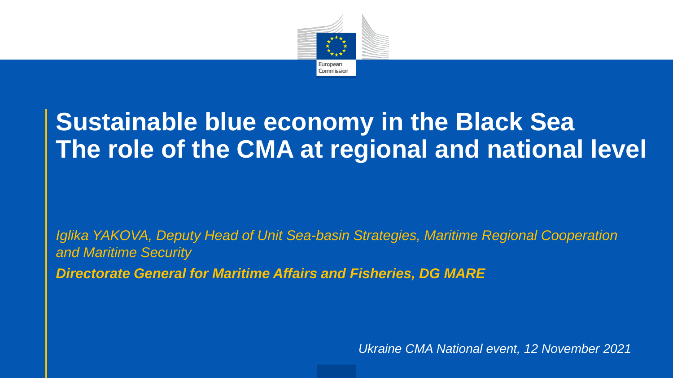

#### **Sustainable blue economy in the Black Sea The role of the CMA at regional and national level**

*Iglika YAKOVA, Deputy Head of Unit Sea-basin Strategies, Maritime Regional Cooperation and Maritime Security Directorate General for Maritime Affairs and Fisheries, DG MARE*

*Ukraine CMA National event, 12 November 2021*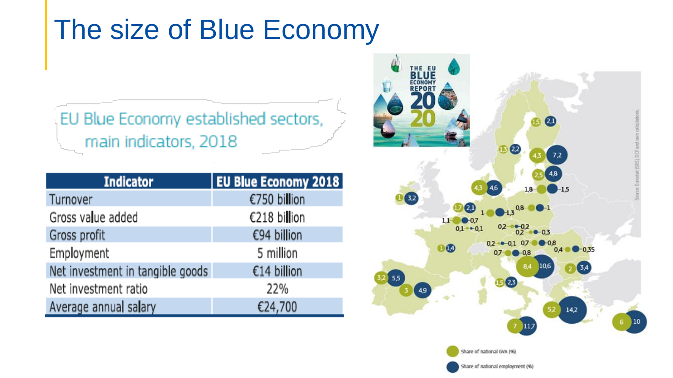### The size of Blue Economy

#### EU Blue Economy established sectors, main indicators, 2018

| <b>Indicator</b>                 | <b>EU Blue Economy 2018</b> |
|----------------------------------|-----------------------------|
| Turnover                         | €750 billion                |
| Gross value added                | €218 billion                |
| Gross profit                     | €94 billion                 |
| Employment                       | 5 million                   |
| Net investment in tangible goods | €14 billion                 |
| Net investment ratio             | 22%                         |
| Average annual salary            | €24,700                     |

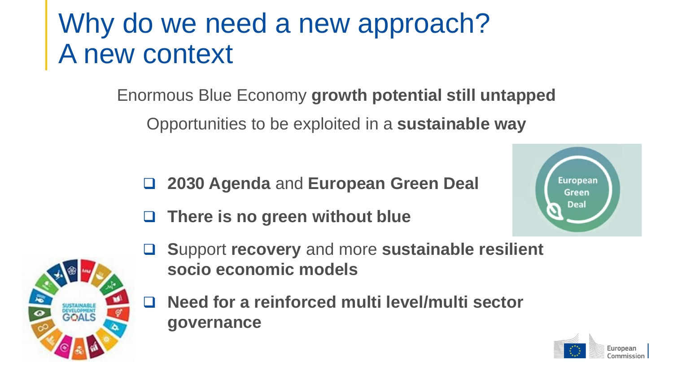## Why do we need a new approach? A new context

Enormous Blue Economy **growth potential still untapped**

Opportunities to be exploited in a **sustainable way**

- ❑ **2030 Agenda** and **European Green Deal**
- ❑ **There is no green without blue**





- ❑ **S**upport **recovery** and more **sustainable resilient socio economic models**
- ❑ **Need for a reinforced multi level/multi sector governance**

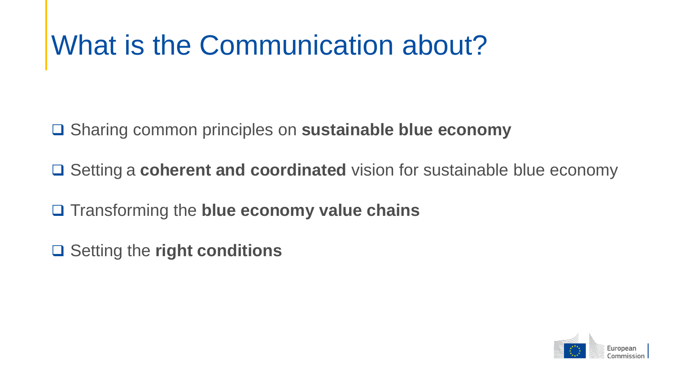### What is the Communication about?

❑ Sharing common principles on **sustainable blue economy**

❑ Setting a **coherent and coordinated** vision for sustainable blue economy

❑ Transforming the **blue economy value chains**

❑ Setting the **right conditions**

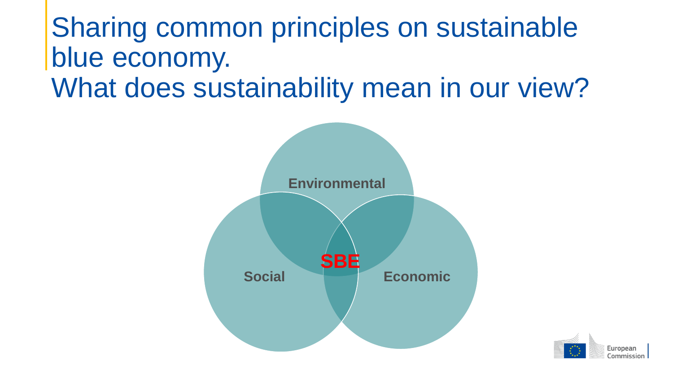### Sharing common principles on sustainable blue economy. What does sustainability mean in our view?



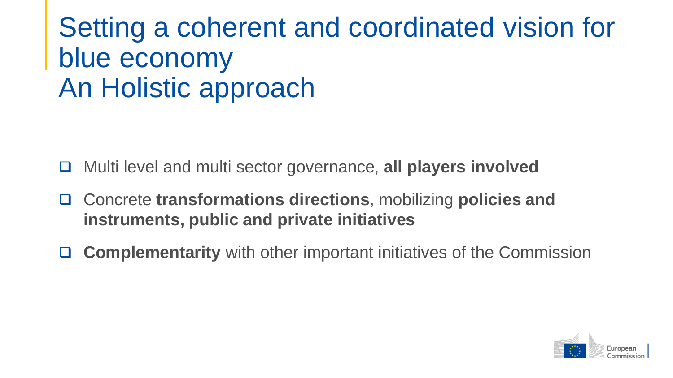### Setting a coherent and coordinated vision for blue economy An Holistic approach

- ❑ Multi level and multi sector governance, **all players involved**
- ❑ Concrete **transformations directions**, mobilizing **policies and instruments, public and private initiatives**
- ❑ **Complementarity** with other important initiatives of the Commission

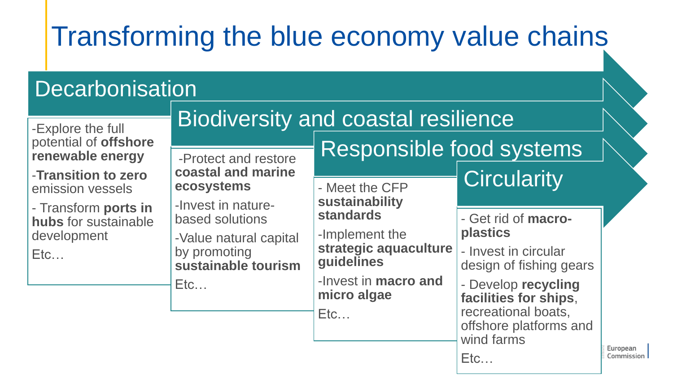# Transforming the blue economy value chains

#### **Decarbonisation**

| -Explore the full                                                | <b>Biodiversity and coastal resilience</b>                    |                                                       |                                                                    |                        |
|------------------------------------------------------------------|---------------------------------------------------------------|-------------------------------------------------------|--------------------------------------------------------------------|------------------------|
| potential of offshore<br>renewable energy<br>-Transition to zero | -Protect and restore<br>coastal and marine                    | Responsible food systems                              |                                                                    |                        |
| emission vessels                                                 | ecosystems                                                    | - Meet the CFP<br>sustainability                      | <b>Circularity</b>                                                 |                        |
| - Transform ports in<br>hubs for sustainable                     | -Invest in nature-<br>based solutions                         | <b>standards</b>                                      | - Get rid of macro-<br><b>plastics</b>                             |                        |
| development<br>Etc                                               | -Value natural capital<br>by promoting<br>sustainable tourism | -Implement the<br>strategic aquaculture<br>guidelines | - Invest in circular<br>design of fishing gears                    |                        |
|                                                                  | Etc                                                           | -Invest in macro and<br>micro algae                   | - Develop recycling<br>facilities for ships,                       |                        |
|                                                                  |                                                               | Etc                                                   | recreational boats,<br>offshore platforms and<br>wind farms<br>Etc | European<br>Commission |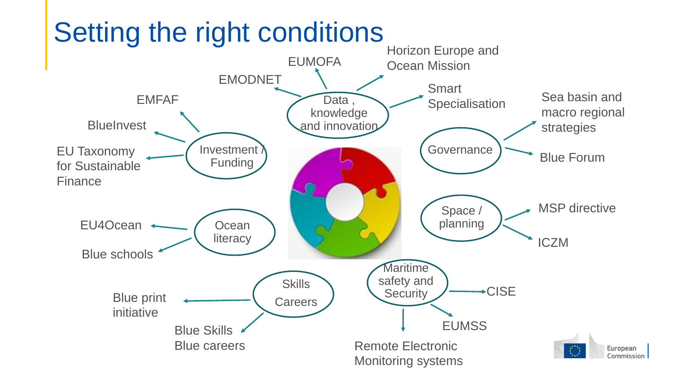

### Setting the right conditions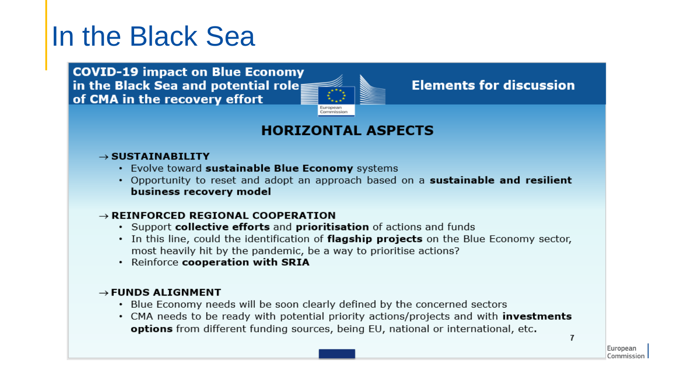#### In the Black Sea

**COVID-19 impact on Blue Economy** in the Black Sea and potential role: of CMA in the recovery effort



#### **Elements for discussion**

#### **HORIZONTAL ASPECTS**

#### $\rightarrow$  SUSTAINABILITY

- Evolve toward sustainable Blue Economy systems
- Opportunity to reset and adopt an approach based on a sustainable and resilient business recovery model

#### $\rightarrow$  REINFORCED REGIONAL COOPERATION

- Support collective efforts and prioritisation of actions and funds
- In this line, could the identification of flagship projects on the Blue Economy sector, most heavily hit by the pandemic, be a way to prioritise actions?
- · Reinforce cooperation with SRIA

#### $\rightarrow$  FUNDS ALIGNMENT

- Blue Economy needs will be soon clearly defined by the concerned sectors
- CMA needs to be ready with potential priority actions/projects and with **investments** options from different funding sources, being EU, national or international, etc.

 $\overline{1}$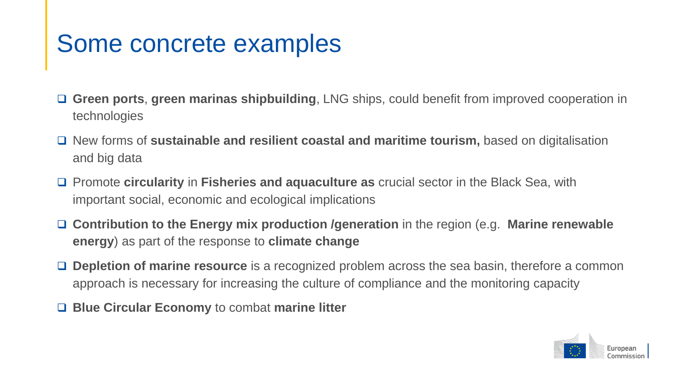#### Some concrete examples

- ❑ **Green ports**, **green marinas shipbuilding**, LNG ships, could benefit from improved cooperation in technologies
- ❑ New forms of **sustainable and resilient coastal and maritime tourism,** based on digitalisation and big data
- ❑ Promote **circularity** in **Fisheries and aquaculture as** crucial sector in the Black Sea, with important social, economic and ecological implications
- ❑ **Contribution to the Energy mix production /generation** in the region (e.g. **Marine renewable energy**) as part of the response to **climate change**
- ❑ **Depletion of marine resource** is a recognized problem across the sea basin, therefore a common approach is necessary for increasing the culture of compliance and the monitoring capacity
- ❑ **Blue Circular Economy** to combat **marine litter**

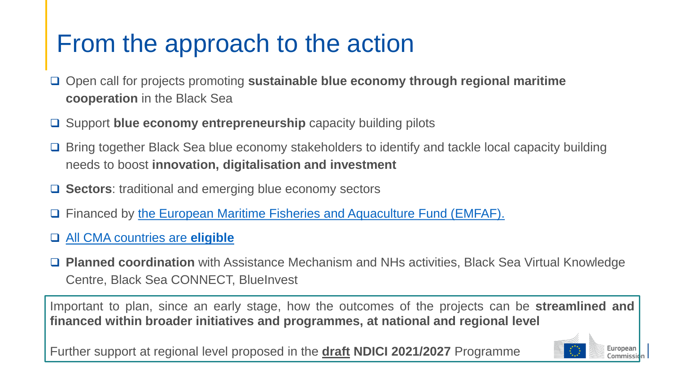#### From the approach to the action

- ❑ Open call for projects promoting **sustainable blue economy through regional maritime cooperation** in the Black Sea
- ❑ Support **blue economy entrepreneurship** capacity building pilots
- ❑ Bring together Black Sea blue economy stakeholders to identify and tackle local capacity building needs to boost **innovation, digitalisation and investment**
- ❑ **Sectors**: traditional and emerging blue economy sectors
- ❑ Financed by [the European Maritime Fisheries and Aquaculture Fund \(EMFAF\).](https://www.google.com/url?sa=t&rct=j&q=&esrc=s&source=web&cd=&ved=2ahUKEwic_tW_vaHzAhWzhv0HHWBMBjcQFnoECAoQAQ&url=https%3A%2F%2Fec.europa.eu%2Foceans-and-fisheries%2Ffunding%2Femfaf_en&usg=AOvVaw1IemQENm0GJyG3WRbbj_Y0)
- ❑ [All CMA countries are](https://www.google.com/url?sa=t&rct=j&q=&esrc=s&source=web&cd=&ved=2ahUKEwic_tW_vaHzAhWzhv0HHWBMBjcQFnoECAoQAQ&url=https%3A%2F%2Fec.europa.eu%2Foceans-and-fisheries%2Ffunding%2Femfaf_en&usg=AOvVaw1IemQENm0GJyG3WRbbj_Y0) **eligible**
- ❑ **Planned coordination** with Assistance Mechanism and NHs activities, Black Sea Virtual Knowledge Centre, Black Sea CONNECT, BlueInvest

Important to plan, since an early stage, how the outcomes of the projects can be **streamlined and financed within broader initiatives and programmes, at national and regional level**

Further support at regional level proposed in the **draft NDICI 2021/2027** Programme

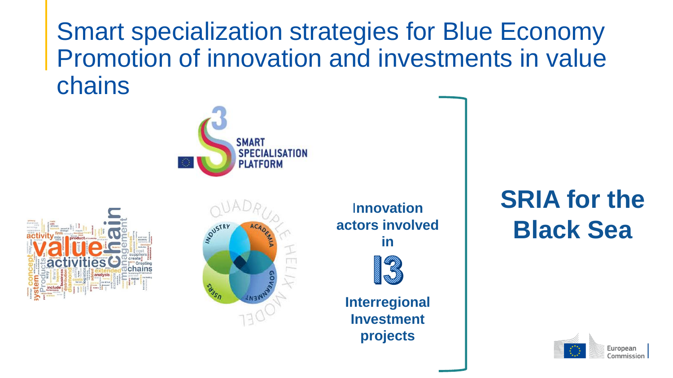Smart specialization strategies for Blue Economy Promotion of innovation and investments in value chains







I**nnovation actors involved in** 



**Interregional Investment projects**

#### **SRIA for the Black Sea**